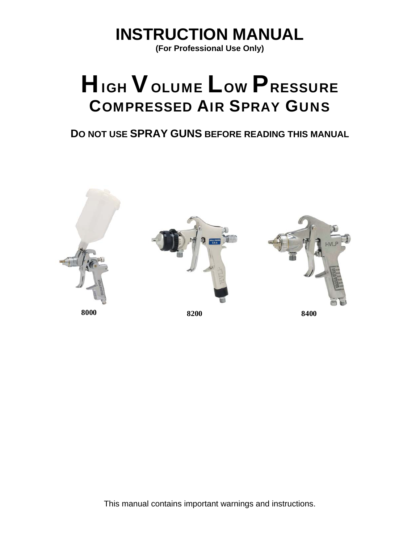**INSTRUCTION MANUAL** 

**(For Professional Use Only)** 

# HIGH VOLUME LOW PRESSURE COMPRESSED AIR SPRAY GUNS

**DO NOT USE SPRAY GUNS BEFORE READING THIS MANUAL**



This manual contains important warnings and instructions.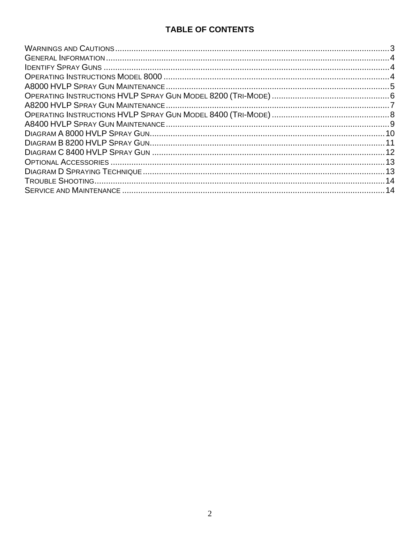## **TABLE OF CONTENTS**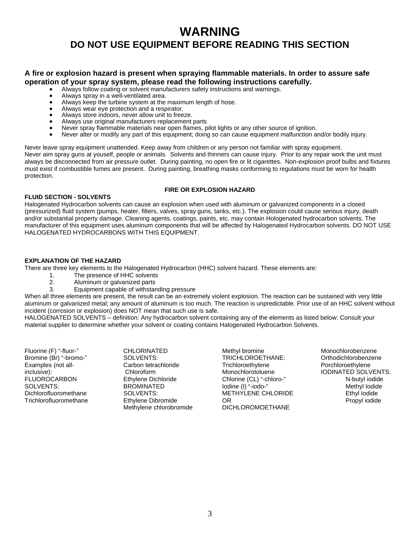# **WARNING DO NOT USE EQUIPMENT BEFORE READING THIS SECTION**

# **A fire or explosion hazard is present when spraying flammable materials. In order to assure safe operation of your spray system, please read the following instructions carefully.**<br>• Always follow coating or solvent manufacturers safety instructions and warnings.

- 
- Always spray in a well-ventilated area.
- Always keep the turbine system at the maximum length of hose.
- Always wear eye protection and a respirator.
- Always store indoors, never allow unit to freeze.
- Always use original manufacturers replacement parts
- Never spray flammable materials near open flames, pilot lights or any other source of ignition.
- Never alter or modify any part of this equipment; doing so can cause equipment malfunction and/or bodily injury.

Never leave spray equipment unattended. Keep away from children or any person not familiar with spray equipment. Never aim spray guns at youself, people or animals. Solvents and thinners can cause injury. Prior to any repair work the unit must always be disconnected from air pressure outlet. During painting, no open fire or lit cigarettes. Non-explosion proof bulbs and fixtures must exist if combustible fumes are present. During painting, breathing masks conforming to regulations must be worn for health protection.

#### **FIRE OR EXPLOSION HAZARD**

#### **FLUID SECTION - SOLVENTS**

Halogenated Hydrocarbon solvents can cause an explosion when used with aluminum or galvanized components in a closed (pressurized) fluid system (pumps, heater, filters, valves, spray guns, tanks, etc.). The explosion could cause serious injury, death and/or substantial property damage. Cleaning agents, coatings, paints, etc. may contain Hologenated hydrocarbon solvents. The manufacturer of this equipment uses aluminum components that will be affected by Halogenated Hydrocarbon solvents. DO NOT USE HALOGENATED HYDROCARBONS WITH THIS EQUIPMENT.

#### **EXPLANATION OF THE HAZARD**

There are three key elements to the Halogenated Hydrocarbon (HHC) solvent hazard. These elements are:

- 1. The presence of HHC solvents<br>2. Aluminum or galvanized parts
- Aluminum or galvanized parts
- 3. Equipment capable of withstanding pressure

When all three elements are present, the result can be an extremely violent explosion. The reaction can be sustained with very little aluminum or galvanized metal; any amount of aluminum is too much. The reaction is unpredictable. Prior use of an HHC solvent without incident (corrosion or explosion) does NOT mean that such use is safe.

HALOGENATED SOLVENTS – definition: Any hydrocarbon solvent containing any of the elements as listed below: Consult your material supplier to determine whether your solvent or coating contains Halogenated Hydrocarbon Solvents.

Fluorine (F) "-fluor-" Bromine (Br) "-bromo-" Examples (not allinclusive): **FLUOROCARBON** SOLVENTS: Dichlorofluoromethane Trichlorofluoromethane CHLORINATED SOLVENTS: Carbon tetrachloride Chloroform Ethylene Dichloride BROMINATED SOLVENTS: Ethylene Dibromide Methylene chlorobromide

Methyl bromine TRICHLOROETHANE: **Trichloroethylene** Monochlorotoluene Chlorine (CL) "-chloro-" Iodine (I) "-iodo-" METHYLENE CHLORIDE OR DICHLOROMOETHANE

Monochlorobenzene Orthodichlorobenzene Porchloroethylene IODINATED SOLVENTS: N-butyl iodide Methyl Iodide Ethyl Iodide Propyl iodide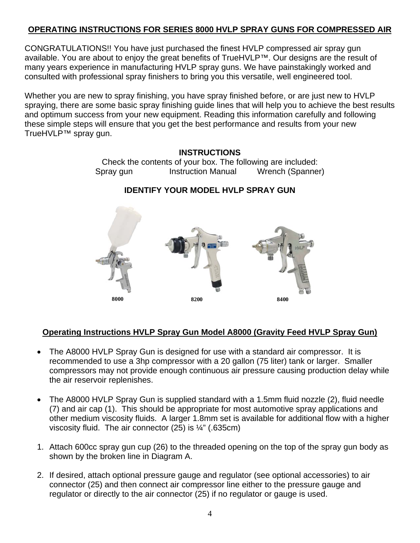#### **OPERATING INSTRUCTIONS FOR SERIES 8000 HVLP SPRAY GUNS FOR COMPRESSED AIR**

CONGRATULATIONS!! You have just purchased the finest HVLP compressed air spray gun available. You are about to enjoy the great benefits of TrueHVLP™. Our designs are the result of many years experience in manufacturing HVLP spray guns. We have painstakingly worked and consulted with professional spray finishers to bring you this versatile, well engineered tool.

Whether you are new to spray finishing, you have spray finished before, or are just new to HVLP spraying, there are some basic spray finishing guide lines that will help you to achieve the best results and optimum success from your new equipment. Reading this information carefully and following these simple steps will ensure that you get the best performance and results from your new TrueHVLP™ spray gun.

# **INSTRUCTIONS**  Check the contents of your box. The following are included: Spray gun Instruction Manual Wrench (Spanner) **IDENTIFY YOUR MODEL HVLP SPRAY GUN**



#### **Operating Instructions HVLP Spray Gun Model A8000 (Gravity Feed HVLP Spray Gun)**

- The A8000 HVLP Spray Gun is designed for use with a standard air compressor. It is recommended to use a 3hp compressor with a 20 gallon (75 liter) tank or larger. Smaller compressors may not provide enough continuous air pressure causing production delay while the air reservoir replenishes.
- The A8000 HVLP Spray Gun is supplied standard with a 1.5mm fluid nozzle (2), fluid needle (7) and air cap (1). This should be appropriate for most automotive spray applications and other medium viscosity fluids. A larger 1.8mm set is available for additional flow with a higher viscosity fluid. The air connector (25) is ¼" (.635cm)
- 1. Attach 600cc spray gun cup (26) to the threaded opening on the top of the spray gun body as shown by the broken line in Diagram A.
- 2. If desired, attach optional pressure gauge and regulator (see optional accessories) to air connector (25) and then connect air compressor line either to the pressure gauge and regulator or directly to the air connector (25) if no regulator or gauge is used.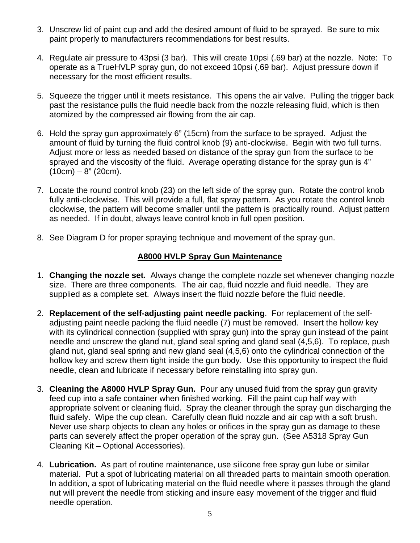- 3. Unscrew lid of paint cup and add the desired amount of fluid to be sprayed. Be sure to mix paint properly to manufacturers recommendations for best results.
- 4. Regulate air pressure to 43psi (3 bar). This will create 10psi (.69 bar) at the nozzle. Note: To operate as a TrueHVLP spray gun, do not exceed 10psi (.69 bar). Adjust pressure down if necessary for the most efficient results.
- 5. Squeeze the trigger until it meets resistance. This opens the air valve. Pulling the trigger back past the resistance pulls the fluid needle back from the nozzle releasing fluid, which is then atomized by the compressed air flowing from the air cap.
- 6. Hold the spray gun approximately 6" (15cm) from the surface to be sprayed. Adjust the amount of fluid by turning the fluid control knob (9) anti-clockwise. Begin with two full turns. Adjust more or less as needed based on distance of the spray gun from the surface to be sprayed and the viscosity of the fluid. Average operating distance for the spray gun is 4"  $(10cm) - 8" (20cm)$ .
- 7. Locate the round control knob (23) on the left side of the spray gun. Rotate the control knob fully anti-clockwise. This will provide a full, flat spray pattern. As you rotate the control knob clockwise, the pattern will become smaller until the pattern is practically round. Adjust pattern as needed. If in doubt, always leave control knob in full open position.
- 8. See Diagram D for proper spraying technique and movement of the spray gun.

#### **A8000 HVLP Spray Gun Maintenance**

- 1. **Changing the nozzle set.** Always change the complete nozzle set whenever changing nozzle size. There are three components. The air cap, fluid nozzle and fluid needle. They are supplied as a complete set. Always insert the fluid nozzle before the fluid needle.
- 2. **Replacement of the self-adjusting paint needle packing**. For replacement of the selfadjusting paint needle packing the fluid needle (7) must be removed. Insert the hollow key with its cylindrical connection (supplied with spray gun) into the spray gun instead of the paint needle and unscrew the gland nut, gland seal spring and gland seal (4,5,6). To replace, push gland nut, gland seal spring and new gland seal (4,5,6) onto the cylindrical connection of the hollow key and screw them tight inside the gun body. Use this opportunity to inspect the fluid needle, clean and lubricate if necessary before reinstalling into spray gun.
- 3. **Cleaning the A8000 HVLP Spray Gun.** Pour any unused fluid from the spray gun gravity feed cup into a safe container when finished working. Fill the paint cup half way with appropriate solvent or cleaning fluid. Spray the cleaner through the spray gun discharging the fluid safely. Wipe the cup clean. Carefully clean fluid nozzle and air cap with a soft brush. Never use sharp objects to clean any holes or orifices in the spray gun as damage to these parts can severely affect the proper operation of the spray gun. (See A5318 Spray Gun Cleaning Kit – Optional Accessories).
- 4. **Lubrication.** As part of routine maintenance, use silicone free spray gun lube or similar material. Put a spot of lubricating material on all threaded parts to maintain smooth operation. In addition, a spot of lubricating material on the fluid needle where it passes through the gland nut will prevent the needle from sticking and insure easy movement of the trigger and fluid needle operation.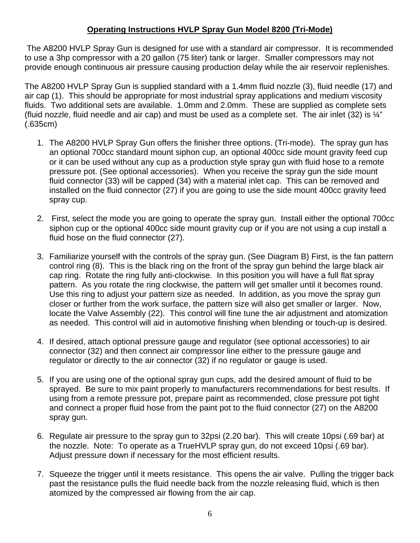#### **Operating Instructions HVLP Spray Gun Model 8200 (Tri-Mode)**

The A8200 HVLP Spray Gun is designed for use with a standard air compressor. It is recommended to use a 3hp compressor with a 20 gallon (75 liter) tank or larger. Smaller compressors may not provide enough continuous air pressure causing production delay while the air reservoir replenishes.

The A8200 HVLP Spray Gun is supplied standard with a 1.4mm fluid nozzle (3), fluid needle (17) and air cap (1). This should be appropriate for most industrial spray applications and medium viscosity fluids. Two additional sets are available. 1.0mm and 2.0mm. These are supplied as complete sets (fluid nozzle, fluid needle and air cap) and must be used as a complete set. The air inlet (32) is  $\frac{1}{4}$ " (.635cm)

- 1. The A8200 HVLP Spray Gun offers the finisher three options. (Tri-mode). The spray gun has an optional 700cc standard mount siphon cup, an optional 400cc side mount gravity feed cup or it can be used without any cup as a production style spray gun with fluid hose to a remote pressure pot. (See optional accessories). When you receive the spray gun the side mount fluid connector (33) will be capped (34) with a material inlet cap. This can be removed and installed on the fluid connector (27) if you are going to use the side mount 400cc gravity feed spray cup.
- 2. First, select the mode you are going to operate the spray gun. Install either the optional 700cc siphon cup or the optional 400cc side mount gravity cup or if you are not using a cup install a fluid hose on the fluid connector (27).
- 3. Familiarize yourself with the controls of the spray gun. (See Diagram B) First, is the fan pattern control ring (8). This is the black ring on the front of the spray gun behind the large black air cap ring. Rotate the ring fully anti-clockwise. In this position you will have a full flat spray pattern. As you rotate the ring clockwise, the pattern will get smaller until it becomes round. Use this ring to adjust your pattern size as needed. In addition, as you move the spray gun closer or further from the work surface, the pattern size will also get smaller or larger. Now, locate the Valve Assembly (22). This control will fine tune the air adjustment and atomization as needed. This control will aid in automotive finishing when blending or touch-up is desired.
- 4. If desired, attach optional pressure gauge and regulator (see optional accessories) to air connector (32) and then connect air compressor line either to the pressure gauge and regulator or directly to the air connector (32) if no regulator or gauge is used.
- 5. If you are using one of the optional spray gun cups, add the desired amount of fluid to be sprayed. Be sure to mix paint properly to manufacturers recommendations for best results. If using from a remote pressure pot, prepare paint as recommended, close pressure pot tight and connect a proper fluid hose from the paint pot to the fluid connector (27) on the A8200 spray gun.
- 6. Regulate air pressure to the spray gun to 32psi (2.20 bar). This will create 10psi (.69 bar) at the nozzle. Note: To operate as a TrueHVLP spray gun, do not exceed 10psi (.69 bar). Adjust pressure down if necessary for the most efficient results.
- 7. Squeeze the trigger until it meets resistance. This opens the air valve. Pulling the trigger back past the resistance pulls the fluid needle back from the nozzle releasing fluid, which is then atomized by the compressed air flowing from the air cap.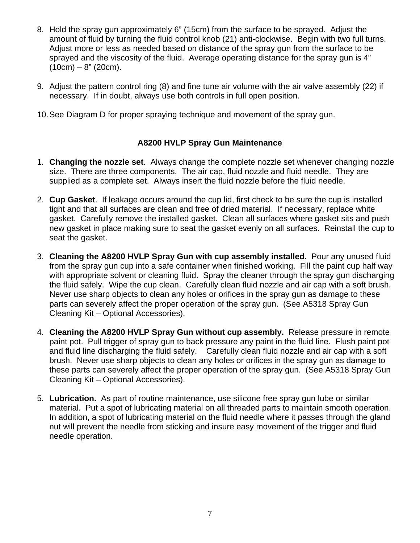- 8. Hold the spray gun approximately 6" (15cm) from the surface to be sprayed. Adjust the amount of fluid by turning the fluid control knob (21) anti-clockwise. Begin with two full turns. Adjust more or less as needed based on distance of the spray gun from the surface to be sprayed and the viscosity of the fluid. Average operating distance for the spray gun is 4"  $(10cm) - 8" (20cm)$ .
- 9. Adjust the pattern control ring (8) and fine tune air volume with the air valve assembly (22) if necessary. If in doubt, always use both controls in full open position.
- 10. See Diagram D for proper spraying technique and movement of the spray gun.

#### **A8200 HVLP Spray Gun Maintenance**

- 1. **Changing the nozzle set**. Always change the complete nozzle set whenever changing nozzle size. There are three components. The air cap, fluid nozzle and fluid needle. They are supplied as a complete set. Always insert the fluid nozzle before the fluid needle.
- 2. **Cup Gasket**. If leakage occurs around the cup lid, first check to be sure the cup is installed tight and that all surfaces are clean and free of dried material. If necessary, replace white gasket. Carefully remove the installed gasket. Clean all surfaces where gasket sits and push new gasket in place making sure to seat the gasket evenly on all surfaces. Reinstall the cup to seat the gasket.
- 3. **Cleaning the A8200 HVLP Spray Gun with cup assembly installed.** Pour any unused fluid from the spray gun cup into a safe container when finished working. Fill the paint cup half way with appropriate solvent or cleaning fluid. Spray the cleaner through the spray gun discharging the fluid safely. Wipe the cup clean. Carefully clean fluid nozzle and air cap with a soft brush. Never use sharp objects to clean any holes or orifices in the spray gun as damage to these parts can severely affect the proper operation of the spray gun. (See A5318 Spray Gun Cleaning Kit – Optional Accessories).
- 4. **Cleaning the A8200 HVLP Spray Gun without cup assembly.** Release pressure in remote paint pot. Pull trigger of spray gun to back pressure any paint in the fluid line. Flush paint pot and fluid line discharging the fluid safely. Carefully clean fluid nozzle and air cap with a soft brush. Never use sharp objects to clean any holes or orifices in the spray gun as damage to these parts can severely affect the proper operation of the spray gun. (See A5318 Spray Gun Cleaning Kit – Optional Accessories).
- 5. **Lubrication.** As part of routine maintenance, use silicone free spray gun lube or similar material. Put a spot of lubricating material on all threaded parts to maintain smooth operation. In addition, a spot of lubricating material on the fluid needle where it passes through the gland nut will prevent the needle from sticking and insure easy movement of the trigger and fluid needle operation.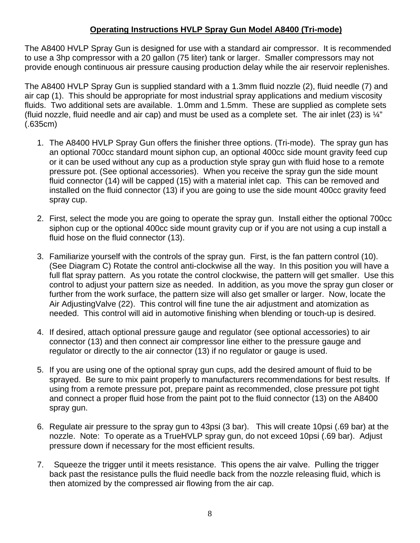#### **Operating Instructions HVLP Spray Gun Model A8400 (Tri-mode)**

The A8400 HVLP Spray Gun is designed for use with a standard air compressor. It is recommended to use a 3hp compressor with a 20 gallon (75 liter) tank or larger. Smaller compressors may not provide enough continuous air pressure causing production delay while the air reservoir replenishes.

The A8400 HVLP Spray Gun is supplied standard with a 1.3mm fluid nozzle (2), fluid needle (7) and air cap (1). This should be appropriate for most industrial spray applications and medium viscosity fluids. Two additional sets are available. 1.0mm and 1.5mm. These are supplied as complete sets (fluid nozzle, fluid needle and air cap) and must be used as a complete set. The air inlet (23) is  $\frac{1}{4}$ " (.635cm)

- 1. The A8400 HVLP Spray Gun offers the finisher three options. (Tri-mode). The spray gun has an optional 700cc standard mount siphon cup, an optional 400cc side mount gravity feed cup or it can be used without any cup as a production style spray gun with fluid hose to a remote pressure pot. (See optional accessories). When you receive the spray gun the side mount fluid connector (14) will be capped (15) with a material inlet cap. This can be removed and installed on the fluid connector (13) if you are going to use the side mount 400cc gravity feed spray cup.
- 2. First, select the mode you are going to operate the spray gun. Install either the optional 700cc siphon cup or the optional 400cc side mount gravity cup or if you are not using a cup install a fluid hose on the fluid connector (13).
- 3. Familiarize yourself with the controls of the spray gun. First, is the fan pattern control (10). (See Diagram C) Rotate the control anti-clockwise all the way. In this position you will have a full flat spray pattern. As you rotate the control clockwise, the pattern will get smaller. Use this control to adjust your pattern size as needed. In addition, as you move the spray gun closer or further from the work surface, the pattern size will also get smaller or larger. Now, locate the Air AdjustingValve (22). This control will fine tune the air adjustment and atomization as needed. This control will aid in automotive finishing when blending or touch-up is desired.
- 4. If desired, attach optional pressure gauge and regulator (see optional accessories) to air connector (13) and then connect air compressor line either to the pressure gauge and regulator or directly to the air connector (13) if no regulator or gauge is used.
- 5. If you are using one of the optional spray gun cups, add the desired amount of fluid to be sprayed. Be sure to mix paint properly to manufacturers recommendations for best results. If using from a remote pressure pot, prepare paint as recommended, close pressure pot tight and connect a proper fluid hose from the paint pot to the fluid connector (13) on the A8400 spray gun.
- 6. Regulate air pressure to the spray gun to 43psi (3 bar). This will create 10psi (.69 bar) at the nozzle. Note: To operate as a TrueHVLP spray gun, do not exceed 10psi (.69 bar). Adjust pressure down if necessary for the most efficient results.
- 7. Squeeze the trigger until it meets resistance. This opens the air valve. Pulling the trigger back past the resistance pulls the fluid needle back from the nozzle releasing fluid, which is then atomized by the compressed air flowing from the air cap.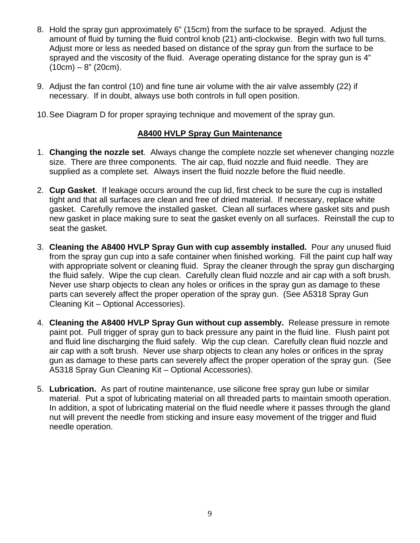- 8. Hold the spray gun approximately 6" (15cm) from the surface to be sprayed. Adjust the amount of fluid by turning the fluid control knob (21) anti-clockwise. Begin with two full turns. Adjust more or less as needed based on distance of the spray gun from the surface to be sprayed and the viscosity of the fluid. Average operating distance for the spray gun is 4"  $(10cm) - 8" (20cm)$ .
- 9. Adjust the fan control (10) and fine tune air volume with the air valve assembly (22) if necessary. If in doubt, always use both controls in full open position.
- 10. See Diagram D for proper spraying technique and movement of the spray gun.

#### **A8400 HVLP Spray Gun Maintenance**

- 1. **Changing the nozzle set**. Always change the complete nozzle set whenever changing nozzle size. There are three components. The air cap, fluid nozzle and fluid needle. They are supplied as a complete set. Always insert the fluid nozzle before the fluid needle.
- 2. **Cup Gasket**. If leakage occurs around the cup lid, first check to be sure the cup is installed tight and that all surfaces are clean and free of dried material. If necessary, replace white gasket. Carefully remove the installed gasket. Clean all surfaces where gasket sits and push new gasket in place making sure to seat the gasket evenly on all surfaces. Reinstall the cup to seat the gasket.
- 3. **Cleaning the A8400 HVLP Spray Gun with cup assembly installed.** Pour any unused fluid from the spray gun cup into a safe container when finished working. Fill the paint cup half way with appropriate solvent or cleaning fluid. Spray the cleaner through the spray gun discharging the fluid safely. Wipe the cup clean. Carefully clean fluid nozzle and air cap with a soft brush. Never use sharp objects to clean any holes or orifices in the spray gun as damage to these parts can severely affect the proper operation of the spray gun. (See A5318 Spray Gun Cleaning Kit – Optional Accessories).
- 4. **Cleaning the A8400 HVLP Spray Gun without cup assembly.** Release pressure in remote paint pot. Pull trigger of spray gun to back pressure any paint in the fluid line. Flush paint pot and fluid line discharging the fluid safely. Wip the cup clean. Carefully clean fluid nozzle and air cap with a soft brush. Never use sharp objects to clean any holes or orifices in the spray gun as damage to these parts can severely affect the proper operation of the spray gun. (See A5318 Spray Gun Cleaning Kit – Optional Accessories).
- 5. **Lubrication.** As part of routine maintenance, use silicone free spray gun lube or similar material. Put a spot of lubricating material on all threaded parts to maintain smooth operation. In addition, a spot of lubricating material on the fluid needle where it passes through the gland nut will prevent the needle from sticking and insure easy movement of the trigger and fluid needle operation.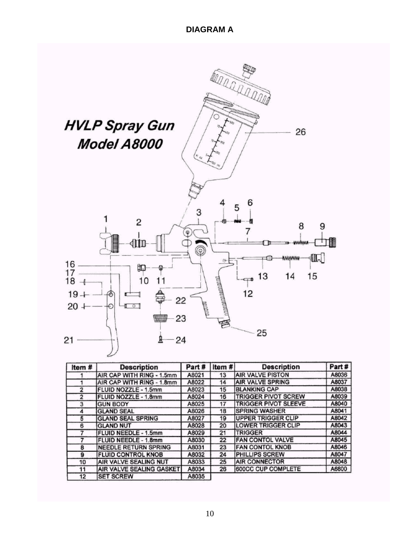

| Item#          | <b>Description</b>              | Part# | Item # | <b>Description</b>          | Part# |
|----------------|---------------------------------|-------|--------|-----------------------------|-------|
|                | AIR CAP WITH RING - 1.5mm       | A8021 | 13     | <b>AIR VALVE PISTON</b>     | A8036 |
|                | AIR CAP WITH RING - 1.8mm       | A8022 | 14     | <b>AIR VALVE SPRING</b>     | A8037 |
| $\overline{2}$ | FLUID NOZZLE - 1.5mm            | A8023 | 15     | <b>BLANKING CAP</b>         | A8038 |
| 2              | FLUID NOZZLE - 1.8mm            | A8024 | 16     | <b>TRIGGER PIVOT SCREW</b>  | A8039 |
| 3              | <b>GUN BODY</b>                 | A8025 | 17     | <b>TRIGGER PIVOT SLEEVE</b> | A8040 |
| 4              | <b>GLAND SEAL</b>               | A8026 | 18     | <b>SPRING WASHER</b>        | A8041 |
| 5              | <b>GLAND SEAL SPRING</b>        | A8027 | 19     | <b>IUPPER TRIGGER CLIP</b>  | A8042 |
| 6              | <b>GLAND NUT</b>                | A8028 | 20     | <b>LOWER TRIGGER CLIP</b>   | A8043 |
|                | FLUID NEEDLE - 1.5mm            | A8029 | 21     | <b>TRIGGER</b>              | A8044 |
|                | <b>FLUID NEEDLE - 1.8mm</b>     | A8030 | 22     | <b>FAN CONTOL VALVE</b>     | A8045 |
| 8              | <b>NEEDLE RETURN SPRING</b>     | A8031 | 23     | <b>FAN CONTOL KNOB</b>      | A8046 |
| 9              | <b>FLUID CONTROL KNOB</b>       | A8032 | 24     | <b>PHILLIPS SCREW</b>       | A8047 |
| 10             | AIR VALVE SEALING NUT           | A8033 | 25     | <b>AIR CONNECTOR</b>        | A8048 |
| 11             | <b>AIR VALVE SEALING GASKET</b> | A8034 | 26     | 600CC CUP COMPLETE          | A6800 |
| 12             | <b>SET SCREW</b>                | A8035 |        |                             |       |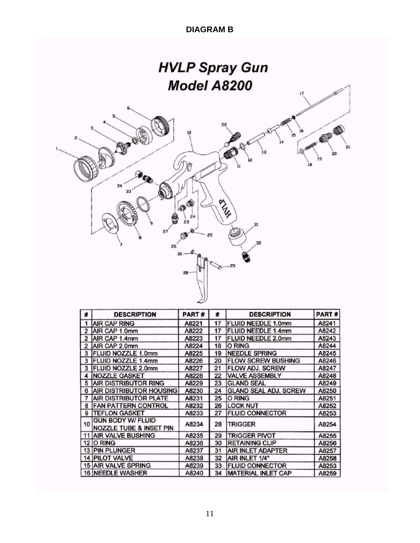### **DIAGRAM B**



| #              | <b>DESCRIPTION</b>                                             | PART# | #  | <b>DESCRIPTION</b>           | PART# |
|----------------|----------------------------------------------------------------|-------|----|------------------------------|-------|
| 1              | <b>JAIR CAP RING</b>                                           | A8221 | 17 | <b>IFLUID NEEDLE 1.0mm</b>   | A8241 |
| $\overline{2}$ | AIR CAP 1.0mm                                                  | A8222 | 17 | <b>IFLUID NEEDLE 1.4mm</b>   | A8242 |
| $\overline{2}$ | <b>JAIR CAP 1.4mm</b>                                          | A8223 | 17 | <b>FLUID NEEDLE 2.0mm</b>    | A8243 |
| 2              | AIR CAP 2.0mm                                                  | A8224 | 18 | <b>O RING</b>                | A8244 |
| 3              | <b>FLUID NOZZLE 1.0mm</b>                                      | A8225 | 19 | <b>NEEDLE SPRING</b>         | A8245 |
| 3              | <b>FLUID NOZZLE 1.4mm</b>                                      | A8226 | 20 | <b>FLOW SCREW BUSHING</b>    | A8246 |
| 3              | <b>IFLUID NOZZLE 2.0mm</b>                                     | A8227 | 21 | <b>FLOW ADJ. SCREW</b>       | A8247 |
| 4              | <b>INOZZLE GASKET</b>                                          | A8228 | 22 | <b>VALVE ASSEMBLY</b>        | A8248 |
| 5              | <b>AIR DISTRIBUTOR RING</b>                                    | A8229 | 23 | <b>GLAND SEAL</b>            | A8249 |
| 6              | AIR DISTRIBUTOR HOUSING                                        | A8230 | 24 | <b>GLAND SEAL ADJ. SCREW</b> | A8250 |
| 7              | AIR DISTRIBUTOR PLATE                                          | A8231 | 25 | O RING                       | A8251 |
| 8              | <b>FAN PATTERN CONTROL</b>                                     | A8232 | 26 | <b>ILOCK NUT</b>             | A8252 |
| 9              | <b>TEFLON GASKET</b>                                           | A8233 | 27 | <b>FLUID CONNECTOR</b>       | A8253 |
| 10             | <b>GUN BODY W/ FLUID</b><br><b>NOZZLE TUBE &amp; INSET PIN</b> | A8234 | 28 | <b>TRIGGER</b>               | A8254 |
|                | 11 AIR VALVE BUSHING                                           | A8235 | 29 | <b>TRIGGER PIVOT</b>         | A8255 |
|                | <b>12 O RING</b>                                               | A8236 | 30 | <b>RETAINING CLIP</b>        | A8256 |
|                | 13 PIN PLUNGER                                                 | A8237 | 31 | AIR INLET ADAPTER            | A8257 |
|                | <b>14 PILOT VALVE</b>                                          | A8238 | 32 | AIR INLET 1/4"               | A8258 |
|                | 15 AIR VALVE SPRING                                            | A8239 | 33 | <b>FLUID CONNECTOR</b>       | A8253 |
|                | 16 NEEDLE WASHER                                               | A8240 | 34 | <b>MATERIAL INLET CAP</b>    | A8259 |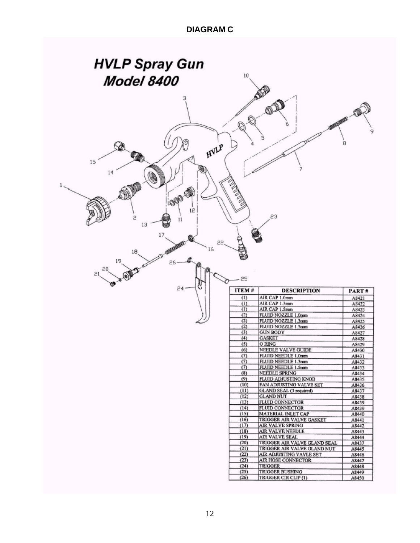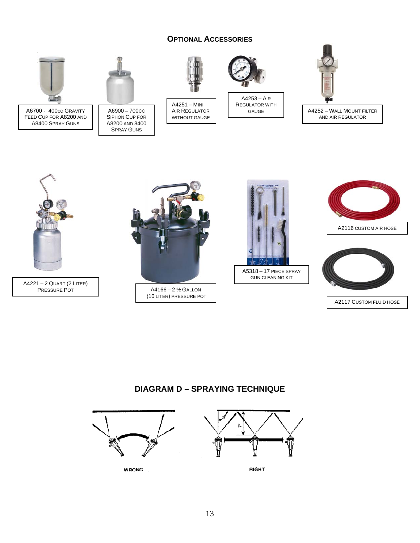#### **OPTIONAL ACCESSORIES**



(10 LITER) PRESSURE POT

A2117 CUSTOM FLUID HOSE

#### **DIAGRAM D – SPRAYING TECHNIQUE**